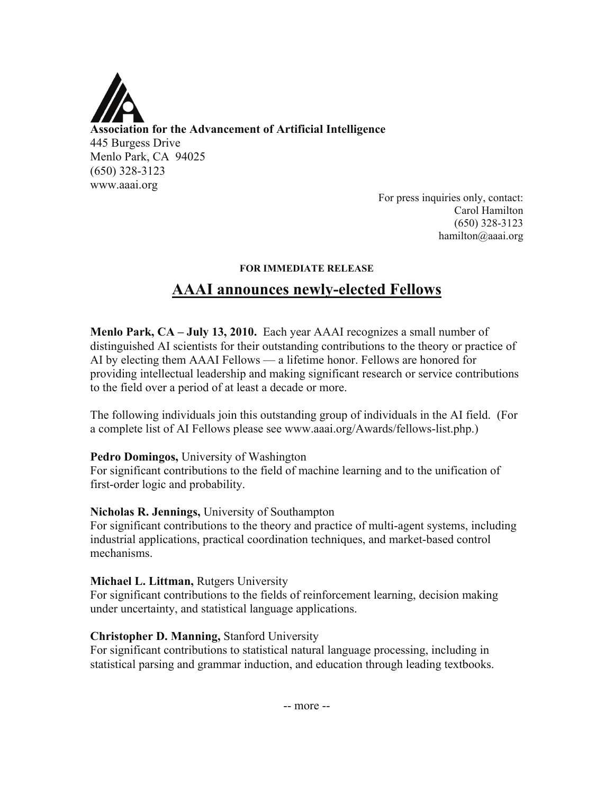

**Association for the Advancement of Artificial Intelligence**  445 Burgess Drive Menlo Park, CA 94025 (650) 328-3123 www.aaai.org

For press inquiries only, contact: Carol Hamilton (650) 328-3123 hamilton@aaai.org

#### **FOR IMMEDIATE RELEASE**

# **AAAI announces newly-elected Fellows**

**Menlo Park, CA – July 13, 2010.** Each year AAAI recognizes a small number of distinguished AI scientists for their outstanding contributions to the theory or practice of AI by electing them AAAI Fellows — a lifetime honor. Fellows are honored for providing intellectual leadership and making significant research or service contributions to the field over a period of at least a decade or more.

The following individuals join this outstanding group of individuals in the AI field. (For a complete list of AI Fellows please see www.aaai.org/Awards/fellows-list.php.)

#### **Pedro Domingos,** University of Washington

For significant contributions to the field of machine learning and to the unification of first-order logic and probability.

#### **Nicholas R. Jennings,** University of Southampton

For significant contributions to the theory and practice of multi-agent systems, including industrial applications, practical coordination techniques, and market-based control mechanisms.

#### **Michael L. Littman,** Rutgers University

For significant contributions to the fields of reinforcement learning, decision making under uncertainty, and statistical language applications.

## **Christopher D. Manning,** Stanford University

For significant contributions to statistical natural language processing, including in statistical parsing and grammar induction, and education through leading textbooks.